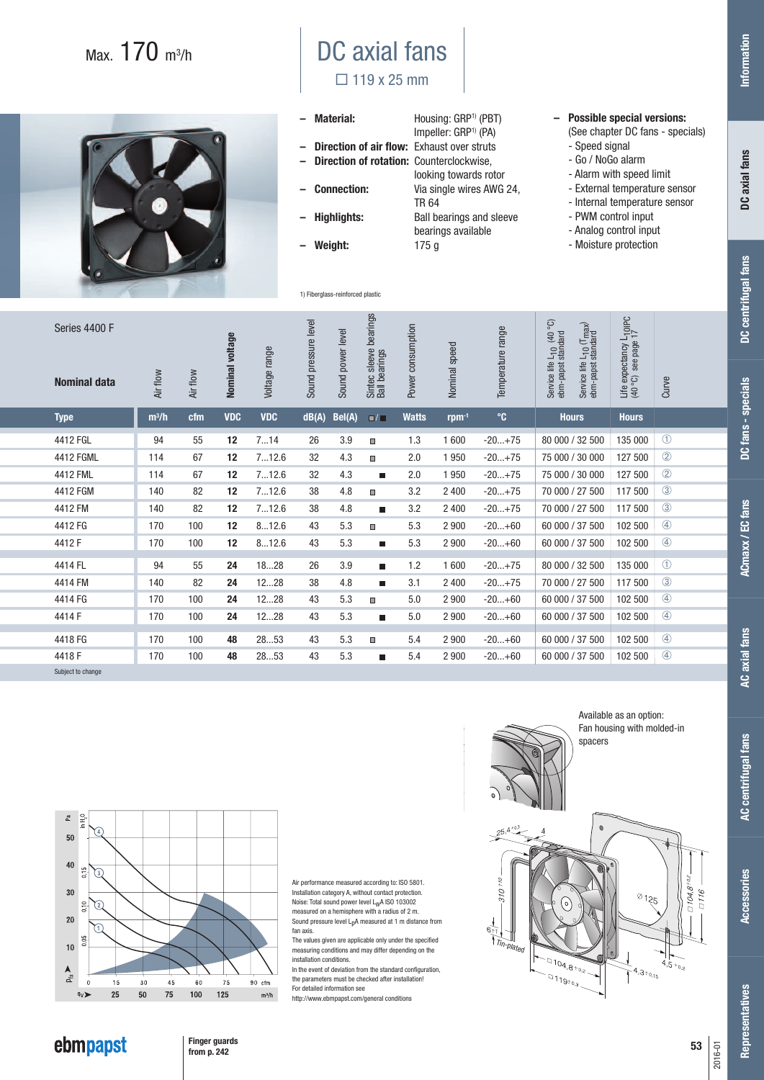## Max. 170 m3 /h



## DC axial fans  $\Box$  119 x 25 mm

| - Material:                                  | Housing: GRP <sup>1)</sup> (PBT) |
|----------------------------------------------|----------------------------------|
|                                              | Impeller: GRP <sup>1)</sup> (PA) |
| - Direction of air flow: Exhaust over struts |                                  |
| - Direction of rotation: Counterclockwise,   |                                  |
|                                              | looking towards roto             |
| – Connection:                                | Via single wires AW              |

TR 64<br>Highlights: Ball be

1) Fiberglass-reinforced plastic

- 
- **Weight:** 175 g
- rotor **– Connection:** Via single wires AWG 24, **Ball bearings and sleeve** bearings available<br>175 g
- **Possible special versions:** (See chapter DC fans - specials)
	- Speed signal
	- Go / NoGo alarm
	- Alarm with speed limit - External temperature sensor
	- Internal temperature sensor
	- PWM control input
	- Analog control input
	- Moisture protection

| Series 4400 F<br><b>Nominal data</b> | Air flow | Air flow | Nominal voltage   | Voltage range | pressure level<br>Sound | Sound power level | Sintec sleeve bearings<br>Ball bearings | Power consumption | Nominal speed | Temperature range | Co<br>Service life L <sub>10</sub> (T <sub>max</sub> )<br>ebm-papst standard<br>Service life L <sub>10</sub> (40<br>ebm-papst standard | Life expectancy L <sub>10lPC</sub><br>(40 °C) see page 17 | Curve         |
|--------------------------------------|----------|----------|-------------------|---------------|-------------------------|-------------------|-----------------------------------------|-------------------|---------------|-------------------|----------------------------------------------------------------------------------------------------------------------------------------|-----------------------------------------------------------|---------------|
| <b>Type</b>                          | $m^3/h$  | cfm      | <b>VDC</b>        | <b>VDC</b>    | dB(A)                   | Bel(A)            | $\Box / \Box$                           | <b>Watts</b>      | $rpm^{-1}$    | $^{\circ}$ C      | <b>Hours</b>                                                                                                                           | <b>Hours</b>                                              |               |
| 4412 FGL                             | 94       | 55       | 12                | 714           | 26                      | 3.9               | ш                                       | 1.3               | 1 600         | $-20+75$          | 80 000 / 32 500                                                                                                                        | 135 000                                                   | $\circled{1}$ |
| 4412 FGML                            | 114      | 67       | 12                | 712.6         | 32                      | 4.3               | $\Box$                                  | 2.0               | 1 9 5 0       | $-20+75$          | 75 000 / 30 000                                                                                                                        | 127 500                                                   | $\circled{2}$ |
| 4412 FML                             | 114      | 67       | $12 \overline{ }$ | 712.6         | 32                      | 4.3               | ш                                       | 2.0               | 1950          | $-20+75$          | 75 000 / 30 000                                                                                                                        | 127 500                                                   | $\circled{2}$ |
| 4412 FGM                             | 140      | 82       | 12                | 712.6         | 38                      | 4.8               | ш                                       | 3.2               | 2 4 0 0       | $-20+75$          | 70 000 / 27 500                                                                                                                        | 117 500                                                   | $\circled{3}$ |
| 4412 FM                              | 140      | 82       | $12 \overline{ }$ | 712.6         | 38                      | 4.8               | п                                       | 3.2               | 2 4 0 0       | $-20+75$          | 70 000 / 27 500                                                                                                                        | 117 500                                                   | $\circled{3}$ |
| 4412 FG                              | 170      | 100      | 12                | 812.6         | 43                      | 5.3               | ш                                       | 5.3               | 2 9 0 0       | $-20+60$          | 60 000 / 37 500                                                                                                                        | 102 500                                                   | $\circled{4}$ |
| 4412 F                               | 170      | 100      | 12                | 812.6         | 43                      | 5.3               | п                                       | 5.3               | 2 900         | $-20+60$          | 60 000 / 37 500                                                                                                                        | 102 500                                                   | $\circledast$ |
| 4414 FL                              | 94       | 55       | 24                | 1828          | 26                      | 3.9               | ш                                       | 1.2               | 1 600         | $-20+75$          | 80 000 / 32 500                                                                                                                        | 135 000                                                   | $\circled{f}$ |
| 4414 FM                              | 140      | 82       | 24                | 1228          | 38                      | 4.8               | $\blacksquare$                          | 3.1               | 2 4 0 0       | $-20+75$          | 70 000 / 27 500                                                                                                                        | 117 500                                                   | $\circled{3}$ |
| 4414 FG                              | 170      | 100      | 24                | 1228          | 43                      | 5.3               | ш                                       | 5.0               | 2 9 0 0       | $-20+60$          | 60 000 / 37 500                                                                                                                        | 102 500                                                   | $\circled{4}$ |
| 4414 F                               | 170      | 100      | 24                | 1228          | 43                      | 5.3               | $\blacksquare$                          | 5.0               | 2 9 0 0       | $-20+60$          | 60 000 / 37 500                                                                                                                        | 102 500                                                   | $\circled{4}$ |
| 4418 FG                              | 170      | 100      | 48                | 2853          | 43                      | 5.3               | ш                                       | 5.4               | 2 9 0 0       | $-20+60$          | 60 000 / 37 500                                                                                                                        | 102 500                                                   | $\circled{4}$ |
| 4418 F                               | 170      | 100      | 48                | 2853          | 43                      | 5.3               | п                                       | 5.4               | 2 9 0 0       | $-20+60$          | 60 000 / 37 500                                                                                                                        | 102 500                                                   | $\circled{4}$ |
| Subject to change                    |          |          |                   |               |                         |                   |                                         |                   |               |                   |                                                                                                                                        |                                                           |               |



Air performance measured according to: ISO 5801. Installation category A, without contact protection. Noise: Total sound power level  $L_{W}A$  ISO 103002 measured on a hemisphere with a radius of 2 m. Sound pressure level LpA measured at 1 m distance from fan axis.

The values given are applicable only under the specified measuring conditions and may differ depending on the installation conditions.

In the event of deviation from the standard configuration, the parameters must be checked after installation! For detailed information see

http://www.ebmpapst.com/general conditions



**DC fans - specials**

DC fans - specials

**AC centrifugal fans**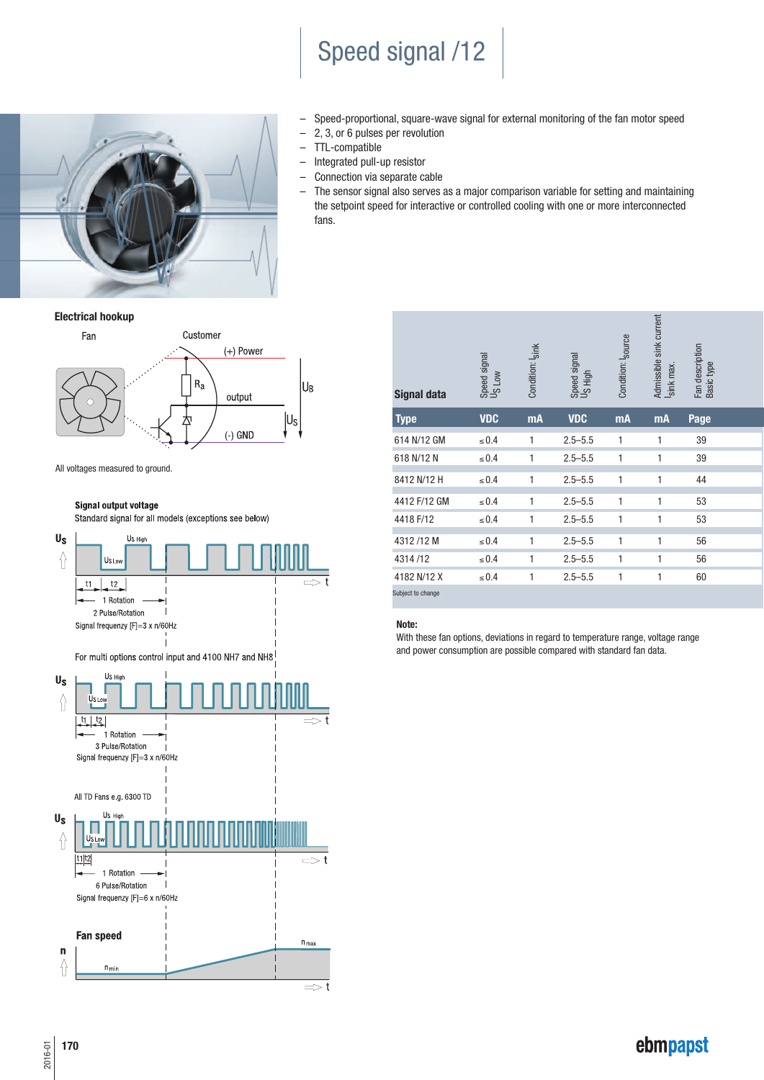# Speed signal /12



- Speed-proportional, square-wave signal for external monitoring of the fan motor speed
- 2, 3, or 6 pulses per revolution
- TTL-compatible
- Integrated pull-up resistor
- Connection via separate cable
- The sensor signal also serves as a major comparison variable for setting and maintaining the setpoint speed for interactive or controlled cooling with one or more interconnected fans.

**Electrical hookup**



All voltages measured to ground.

#### Signal output voltage

Standard signal for all models (exceptions see below)



| <b>Signal data</b> | Speed signal<br>US Low | Condition: Isink | Speed signal<br>US High | Condition: I <sub>source</sub> | Admissible sink current<br>sink max. | Fan description<br>Basic type |  |
|--------------------|------------------------|------------------|-------------------------|--------------------------------|--------------------------------------|-------------------------------|--|
| <b>Type</b>        | <b>VDC</b>             | <b>mA</b>        | <b>VDC</b>              | mA                             | <b>mA</b>                            | Page                          |  |
| 614 N/12 GM        | $\leq 0.4$             | 1                | $2.5 - 5.5$             | 1                              | 1                                    | 39                            |  |
| 618 N/12 N         | $\leq 0.4$             | 1                | $2.5 - 5.5$             | 1                              | 1                                    | 39                            |  |
| 8412 N/12 H        | $\leq 0.4$             | 1                | $2.5 - 5.5$             | 1                              | 1                                    | 44                            |  |
| 4412 F/12 GM       | $\leq 0.4$             | 1                | $2.5 - 5.5$             | 1                              | 1                                    | 53                            |  |
| 4418 F/12          | $\leq 0.4$             | 1                | $2.5 - 5.5$             | 1                              | 1                                    | 53                            |  |
| 4312/12M           | $\leq 0.4$             | 1                | $2.5 - 5.5$             | 1                              | 1                                    | 56                            |  |
| 4314/12            | $\leq 0.4$             | 1                | $2.5 - 5.5$             | 1                              | 1                                    | 56                            |  |
| 4182 N/12 X        | $\leq 0.4$             | 1                | $2.5 - 5.5$             | 1                              | 1                                    | 60                            |  |
| Subject to change  |                        |                  |                         |                                |                                      |                               |  |

#### **Note:**

With these fan options, deviations in regard to temperature range, voltage range and power consumption are possible compared with standard fan data.